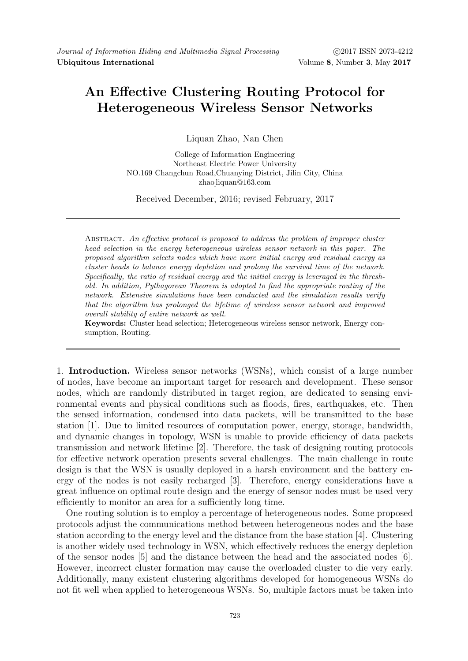## An Effective Clustering Routing Protocol for Heterogeneous Wireless Sensor Networks

Liquan Zhao, Nan Chen

College of Information Engineering Northeast Electric Power University NO.169 Changchun Road,Chuanying District, Jilin City, China zhao liquan@163.com

Received December, 2016; revised February, 2017

ABSTRACT. An effective protocol is proposed to address the problem of improper cluster head selection in the energy heterogeneous wireless sensor network in this paper. The proposed algorithm selects nodes which have more initial energy and residual energy as cluster heads to balance energy depletion and prolong the survival time of the network. Specifically, the ratio of residual energy and the initial energy is leveraged in the threshold. In addition, Pythagorean Theorem is adopted to find the appropriate routing of the network. Extensive simulations have been conducted and the simulation results verify that the algorithm has prolonged the lifetime of wireless sensor network and improved overall stability of entire network as well.

Keywords: Cluster head selection; Heterogeneous wireless sensor network, Energy consumption, Routing.

1. Introduction. Wireless sensor networks (WSNs), which consist of a large number of nodes, have become an important target for research and development. These sensor nodes, which are randomly distributed in target region, are dedicated to sensing environmental events and physical conditions such as floods, fires, earthquakes, etc. Then the sensed information, condensed into data packets, will be transmitted to the base station [1]. Due to limited resources of computation power, energy, storage, bandwidth, and dynamic changes in topology, WSN is unable to provide efficiency of data packets transmission and network lifetime [2]. Therefore, the task of designing routing protocols for effective network operation presents several challenges. The main challenge in route design is that the WSN is usually deployed in a harsh environment and the battery energy of the nodes is not easily recharged [3]. Therefore, energy considerations have a great influence on optimal route design and the energy of sensor nodes must be used very efficiently to monitor an area for a sufficiently long time.

One routing solution is to employ a percentage of heterogeneous nodes. Some proposed protocols adjust the communications method between heterogeneous nodes and the base station according to the energy level and the distance from the base station [4]. Clustering is another widely used technology in WSN, which effectively reduces the energy depletion of the sensor nodes [5] and the distance between the head and the associated nodes [6]. However, incorrect cluster formation may cause the overloaded cluster to die very early. Additionally, many existent clustering algorithms developed for homogeneous WSNs do not fit well when applied to heterogeneous WSNs. So, multiple factors must be taken into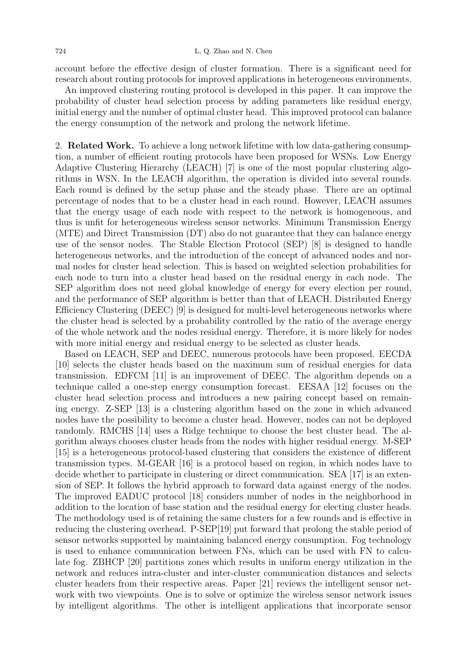account before the effective design of cluster formation. There is a significant need for research about routing protocols for improved applications in heterogeneous environments.

An improved clustering routing protocol is developed in this paper. It can improve the probability of cluster head selection process by adding parameters like residual energy, initial energy and the number of optimal cluster head. This improved protocol can balance the energy consumption of the network and prolong the network lifetime.

2. Related Work. To achieve a long network lifetime with low data-gathering consumption, a number of efficient routing protocols have been proposed for WSNs. Low Energy Adaptive Clustering Hierarchy (LEACH) [7] is one of the most popular clustering algorithms in WSN. In the LEACH algorithm, the operation is divided into several rounds. Each round is defined by the setup phase and the steady phase. There are an optimal percentage of nodes that to be a cluster head in each round. However, LEACH assumes that the energy usage of each node with respect to the network is homogeneous, and thus is unfit for heterogeneous wireless sensor networks. Minimum Transmission Energy (MTE) and Direct Transmission (DT) also do not guarantee that they can balance energy use of the sensor nodes. The Stable Election Protocol (SEP) [8] is designed to handle heterogeneous networks, and the introduction of the concept of advanced nodes and normal nodes for cluster head selection. This is based on weighted selection probabilities for each node to turn into a cluster head based on the residual energy in each node. The SEP algorithm does not need global knowledge of energy for every election per round, and the performance of SEP algorithm is better than that of LEACH. Distributed Energy Efficiency Clustering (DEEC) [9] is designed for multi-level heterogeneous networks where the cluster head is selected by a probability controlled by the ratio of the average energy of the whole network and the nodes residual energy. Therefore, it is more likely for nodes with more initial energy and residual energy to be selected as cluster heads.

Based on LEACH, SEP and DEEC, numerous protocols have been proposed. EECDA [10] selects the cluster heads based on the maximum sum of residual energies for data transmission. EDFCM [11] is an improvement of DEEC. The algorithm depends on a technique called a one-step energy consumption forecast. EESAA [12] focuses on the cluster head selection process and introduces a new pairing concept based on remaining energy. Z-SEP [13] is a clustering algorithm based on the zone in which advanced nodes have the possibility to become a cluster head. However, nodes can not be deployed randomly. RMCHS [14] uses a Ridge technique to choose the best cluster head. The algorithm always chooses cluster heads from the nodes with higher residual energy. M-SEP [15] is a heterogeneous protocol-based clustering that considers the existence of different transmission types. M-GEAR [16] is a protocol based on region, in which nodes have to decide whether to participate in clustering or direct communication. SEA [17] is an extension of SEP. It follows the hybrid approach to forward data against energy of the nodes. The improved EADUC protocol [18] considers number of nodes in the neighborhood in addition to the location of base station and the residual energy for electing cluster heads. The methodology used is of retaining the same clusters for a few rounds and is effective in reducing the clustering overhead. P-SEP[19] put forward that prolong the stable period of sensor networks supported by maintaining balanced energy consumption. Fog technology is used to enhance communication between FNs, which can be used with FN to calculate fog. ZBHCP [20] partitions zones which results in uniform energy utilization in the network and reduces intra-cluster and inter-cluster communication distances and selects cluster headers from their respective areas. Paper [21] reviews the intelligent sensor network with two viewpoints. One is to solve or optimize the wireless sensor network issues by intelligent algorithms. The other is intelligent applications that incorporate sensor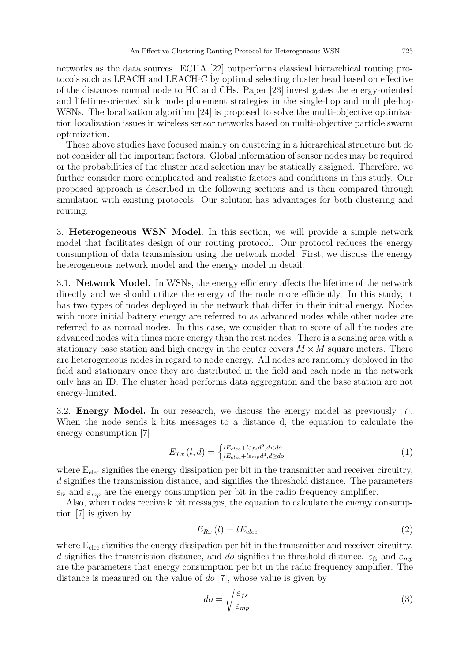networks as the data sources. ECHA [22] outperforms classical hierarchical routing protocols such as LEACH and LEACH-C by optimal selecting cluster head based on effective of the distances normal node to HC and CHs. Paper [23] investigates the energy-oriented and lifetime-oriented sink node placement strategies in the single-hop and multiple-hop WSNs. The localization algorithm [24] is proposed to solve the multi-objective optimization localization issues in wireless sensor networks based on multi-objective particle swarm optimization.

These above studies have focused mainly on clustering in a hierarchical structure but do not consider all the important factors. Global information of sensor nodes may be required or the probabilities of the cluster head selection may be statically assigned. Therefore, we further consider more complicated and realistic factors and conditions in this study. Our proposed approach is described in the following sections and is then compared through simulation with existing protocols. Our solution has advantages for both clustering and routing.

3. Heterogeneous WSN Model. In this section, we will provide a simple network model that facilitates design of our routing protocol. Our protocol reduces the energy consumption of data transmission using the network model. First, we discuss the energy heterogeneous network model and the energy model in detail.

3.1. Network Model. In WSNs, the energy efficiency affects the lifetime of the network directly and we should utilize the energy of the node more efficiently. In this study, it has two types of nodes deployed in the network that differ in their initial energy. Nodes with more initial battery energy are referred to as advanced nodes while other nodes are referred to as normal nodes. In this case, we consider that m score of all the nodes are advanced nodes with times more energy than the rest nodes. There is a sensing area with a stationary base station and high energy in the center covers  $M \times M$  square meters. There are heterogeneous nodes in regard to node energy. All nodes are randomly deployed in the field and stationary once they are distributed in the field and each node in the network only has an ID. The cluster head performs data aggregation and the base station are not energy-limited.

3.2. Energy Model. In our research, we discuss the energy model as previously [7]. When the node sends k bits messages to a distance d, the equation to calculate the energy consumption [7]

$$
E_{Tx}\left(l,d\right) = \begin{cases} lE_{elec} + l\varepsilon_{fs}d^2, d < do\\ lE_{elec} + l\varepsilon_{mp}d^4, d \geq do \end{cases} \tag{1}
$$

where  $E<sub>elec</sub>$  signifies the energy dissipation per bit in the transmitter and receiver circuitry, d signifies the transmission distance, and signifies the threshold distance. The parameters  $\varepsilon_{fs}$  and  $\varepsilon_{mp}$  are the energy consumption per bit in the radio frequency amplifier.

Also, when nodes receive k bit messages, the equation to calculate the energy consumption [7] is given by

$$
E_{Rx} \left( l \right) = l E_{elec} \tag{2}
$$

where  $E_{elec}$  signifies the energy dissipation per bit in the transmitter and receiver circuitry, d signifies the transmission distance, and do signifies the threshold distance.  $\varepsilon_{\text{fs}}$  and  $\varepsilon_{mp}$ are the parameters that energy consumption per bit in the radio frequency amplifier. The distance is measured on the value of do [7], whose value is given by

$$
do = \sqrt{\frac{\varepsilon_{fs}}{\varepsilon_{mp}}} \tag{3}
$$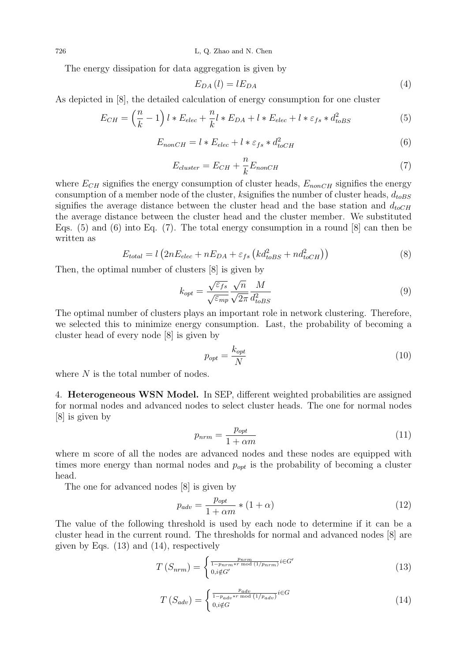726 L, Q. Zhao and N. Chen

The energy dissipation for data aggregation is given by

$$
E_{DA}(l) = lE_{DA} \tag{4}
$$

As depicted in [8], the detailed calculation of energy consumption for one cluster

$$
E_{CH} = \left(\frac{n}{k} - 1\right)l * E_{elec} + \frac{n}{k}l * E_{DA} + l * E_{elec} + l * \varepsilon_{fs} * d_{toBS}^2
$$
\n
$$
\tag{5}
$$

$$
E_{nonCH} = l * E_{elec} + l * \varepsilon_{fs} * d_{toCH}^2 \tag{6}
$$

$$
E_{cluster} = E_{CH} + \frac{n}{k} E_{nonCH}
$$
\n(7)

where  $E_{CH}$  signifies the energy consumption of cluster heads,  $E_{nonCH}$  signifies the energy consumption of a member node of the cluster, ksignifies the number of cluster heads,  $d_{toBS}$ signifies the average distance between the cluster head and the base station and  $d_{toCH}$ the average distance between the cluster head and the cluster member. We substituted Eqs.  $(5)$  and  $(6)$  into Eq.  $(7)$ . The total energy consumption in a round  $[8]$  can then be written as

$$
E_{total} = l \left( 2nE_{elec} + nE_{DA} + \varepsilon_{fs} \left( kd_{toBS}^2 + nd_{toCH}^2 \right) \right) \tag{8}
$$

Then, the optimal number of clusters [8] is given by

$$
k_{opt} = \frac{\sqrt{\varepsilon_{fs}}}{\sqrt{\varepsilon_{mp}}} \frac{\sqrt{n}}{\sqrt{2\pi}} \frac{M}{d_{toBS}^2}
$$
(9)

The optimal number of clusters plays an important role in network clustering. Therefore, we selected this to minimize energy consumption. Last, the probability of becoming a cluster head of every node [8] is given by

$$
p_{opt} = \frac{k_{opt}}{N} \tag{10}
$$

where N is the total number of nodes.

4. Heterogeneous WSN Model. In SEP, different weighted probabilities are assigned for normal nodes and advanced nodes to select cluster heads. The one for normal nodes [8] is given by

$$
p_{nrm} = \frac{p_{opt}}{1 + \alpha m} \tag{11}
$$

where m score of all the nodes are advanced nodes and these nodes are equipped with times more energy than normal nodes and  $p_{opt}$  is the probability of becoming a cluster head.

The one for advanced nodes [8] is given by

$$
p_{adv} = \frac{p_{opt}}{1 + \alpha m} * (1 + \alpha) \tag{12}
$$

The value of the following threshold is used by each node to determine if it can be a cluster head in the current round. The thresholds for normal and advanced nodes [8] are given by Eqs. (13) and (14), respectively

$$
T\left(S_{nrm}\right) = \begin{cases} \frac{p_{nrm}}{1 - p_{nrm} \cdot r \mod (1/p_{nrm})} i\in G'\\ 0, i \notin G' \end{cases} \tag{13}
$$

$$
T\left(S_{adv}\right) = \begin{cases} \frac{p_{adv}}{1 - p_{adv} * r \mod (1/p_{adv})} i \in G\\ 0, i \notin G \end{cases} \tag{14}
$$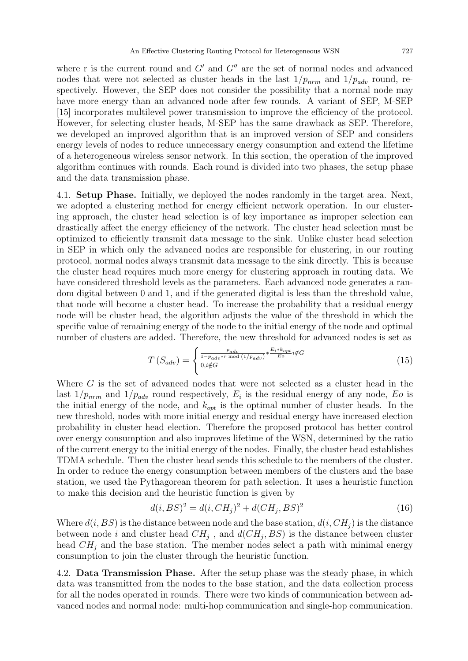where r is the current round and  $G'$  and  $G''$  are the set of normal nodes and advanced nodes that were not selected as cluster heads in the last  $1/p_{nrm}$  and  $1/p_{adv}$  round, respectively. However, the SEP does not consider the possibility that a normal node may have more energy than an advanced node after few rounds. A variant of SEP, M-SEP [15] incorporates multilevel power transmission to improve the efficiency of the protocol. However, for selecting cluster heads, M-SEP has the same drawback as SEP. Therefore, we developed an improved algorithm that is an improved version of SEP and considers energy levels of nodes to reduce unnecessary energy consumption and extend the lifetime of a heterogeneous wireless sensor network. In this section, the operation of the improved algorithm continues with rounds. Each round is divided into two phases, the setup phase and the data transmission phase.

4.1. Setup Phase. Initially, we deployed the nodes randomly in the target area. Next, we adopted a clustering method for energy efficient network operation. In our clustering approach, the cluster head selection is of key importance as improper selection can drastically affect the energy efficiency of the network. The cluster head selection must be optimized to efficiently transmit data message to the sink. Unlike cluster head selection in SEP in which only the advanced nodes are responsible for clustering, in our routing protocol, normal nodes always transmit data message to the sink directly. This is because the cluster head requires much more energy for clustering approach in routing data. We have considered threshold levels as the parameters. Each advanced node generates a random digital between 0 and 1, and if the generated digital is less than the threshold value, that node will become a cluster head. To increase the probability that a residual energy node will be cluster head, the algorithm adjusts the value of the threshold in which the specific value of remaining energy of the node to the initial energy of the node and optimal number of clusters are added. Therefore, the new threshold for advanced nodes is set as

$$
T\left(S_{adv}\right) = \begin{cases} \frac{p_{adv}}{1 - p_{adv} * r \mod (1/p_{adv})} * \frac{E_i * k_{opt}}{E_o} i \notin G\\ 0, i \notin G \end{cases} \tag{15}
$$

Where  $G$  is the set of advanced nodes that were not selected as a cluster head in the last  $1/p_{nrm}$  and  $1/p_{adv}$  round respectively,  $E_i$  is the residual energy of any node,  $E_o$  is the initial energy of the node, and  $k_{opt}$  is the optimal number of cluster heads. In the new threshold, nodes with more initial energy and residual energy have increased election probability in cluster head election. Therefore the proposed protocol has better control over energy consumption and also improves lifetime of the WSN, determined by the ratio of the current energy to the initial energy of the nodes. Finally, the cluster head establishes TDMA schedule. Then the cluster head sends this schedule to the members of the cluster. In order to reduce the energy consumption between members of the clusters and the base station, we used the Pythagorean theorem for path selection. It uses a heuristic function to make this decision and the heuristic function is given by

$$
d(i, BS)^2 = d(i, CH_j)^2 + d(CH_j, BS)^2
$$
\n(16)

Where  $d(i, BS)$  is the distance between node and the base station,  $d(i, CH<sub>i</sub>)$  is the distance between node *i* and cluster head  $CH_j$ , and  $d(CH_j, BS)$  is the distance between cluster head  $CH<sub>j</sub>$  and the base station. The member nodes select a path with minimal energy consumption to join the cluster through the heuristic function.

4.2. Data Transmission Phase. After the setup phase was the steady phase, in which data was transmitted from the nodes to the base station, and the data collection process for all the nodes operated in rounds. There were two kinds of communication between advanced nodes and normal node: multi-hop communication and single-hop communication.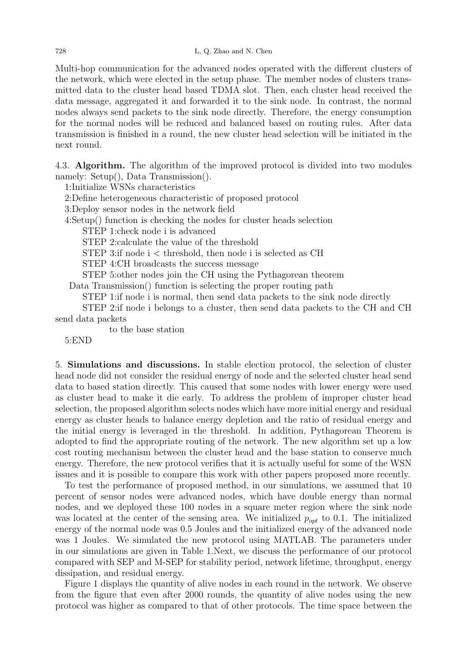Multi-hop communication for the advanced nodes operated with the different clusters of the network, which were elected in the setup phase. The member nodes of clusters transmitted data to the cluster head based TDMA slot. Then, each cluster head received the data message, aggregated it and forwarded it to the sink node. In contrast, the normal nodes always send packets to the sink node directly. Therefore, the energy consumption for the normal nodes will be reduced and balanced based on routing rules. After data transmission is finished in a round, the new cluster head selection will be initiated in the next round.

4.3. Algorithm. The algorithm of the improved protocol is divided into two modules namely: Setup(), Data Transmission().

1:Initialize WSNs characteristics

2:Define heterogeneous characteristic of proposed protocol

3:Deploy sensor nodes in the network field

4:Setup() function is checking the nodes for cluster heads selection

STEP 1:check node i is advanced

STEP 2:calculate the value of the threshold

STEP 3: if node  $i <$  threshold, then node i is selected as CH

STEP 4:CH broadcasts the success message

STEP 5:other nodes join the CH using the Pythagorean theorem

Data Transmission() function is selecting the proper routing path

STEP 1:if node i is normal, then send data packets to the sink node directly

STEP 2:if node i belongs to a cluster, then send data packets to the CH and CH send data packets

to the base station

5:END

5. Simulations and discussions. In stable election protocol, the selection of cluster head node did not consider the residual energy of node and the selected cluster head send data to based station directly. This caused that some nodes with lower energy were used as cluster head to make it die early. To address the problem of improper cluster head selection, the proposed algorithm selects nodes which have more initial energy and residual energy as cluster heads to balance energy depletion and the ratio of residual energy and the initial energy is leveraged in the threshold. In addition, Pythagorean Theorem is adopted to find the appropriate routing of the network. The new algorithm set up a low cost routing mechanism between the cluster head and the base station to conserve much energy. Therefore, the new protocol verifies that it is actually useful for some of the WSN issues and it is possible to compare this work with other papers proposed more recently.

To test the performance of proposed method, in our simulations, we assumed that 10 percent of sensor nodes were advanced nodes, which have double energy than normal nodes, and we deployed these 100 nodes in a square meter region where the sink node was located at the center of the sensing area. We initialized  $p_{opt}$  to 0.1. The initialized energy of the normal node was 0.5 Joules and the initialized energy of the advanced node was 1 Joules. We simulated the new protocol using MATLAB. The parameters under in our simulations are given in Table 1.Next, we discuss the performance of our protocol compared with SEP and M-SEP for stability period, network lifetime, throughput, energy dissipation, and residual energy.

Figure 1 displays the quantity of alive nodes in each round in the network. We observe from the figure that even after 2000 rounds, the quantity of alive nodes using the new protocol was higher as compared to that of other protocols. The time space between the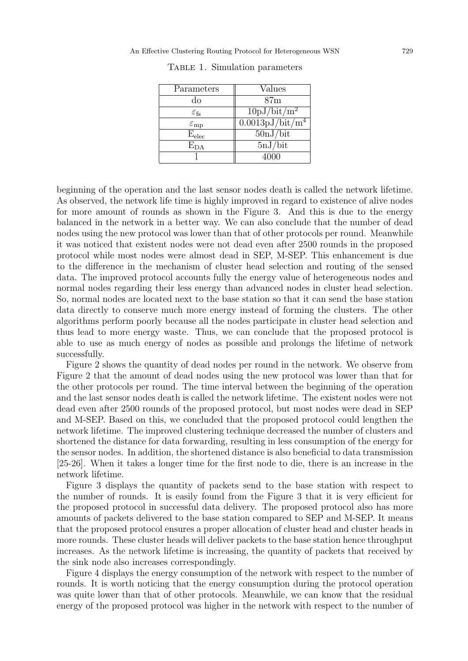| Parameters                   | Values                                          |
|------------------------------|-------------------------------------------------|
| do                           | 87 <sub>m</sub>                                 |
| $\varepsilon_{\rm fs}$       | $10pJ/bit/m^2$                                  |
| $\varepsilon_{\rm mp}$       | $\sqrt{0.0013 \text{pJ}/\text{bit}/\text{m}^4}$ |
| $\mathrm{E}_{\mathrm{elec}}$ | 50nJ/bit                                        |
| $E_{DA}$                     | 5nJ/bit                                         |
|                              | 4000                                            |

Table 1. Simulation parameters

beginning of the operation and the last sensor nodes death is called the network lifetime. As observed, the network life time is highly improved in regard to existence of alive nodes for more amount of rounds as shown in the Figure 3. And this is due to the energy balanced in the network in a better way. We can also conclude that the number of dead nodes using the new protocol was lower than that of other protocols per round. Meanwhile it was noticed that existent nodes were not dead even after 2500 rounds in the proposed protocol while most nodes were almost dead in SEP, M-SEP. This enhancement is due to the difference in the mechanism of cluster head selection and routing of the sensed data. The improved protocol accounts fully the energy value of heterogeneous nodes and normal nodes regarding their less energy than advanced nodes in cluster head selection. So, normal nodes are located next to the base station so that it can send the base station data directly to conserve much more energy instead of forming the clusters. The other algorithms perform poorly because all the nodes participate in cluster head selection and thus lead to more energy waste. Thus, we can conclude that the proposed protocol is able to use as much energy of nodes as possible and prolongs the lifetime of network successfully.

Figure 2 shows the quantity of dead nodes per round in the network. We observe from Figure 2 that the amount of dead nodes using the new protocol was lower than that for the other protocols per round. The time interval between the beginning of the operation and the last sensor nodes death is called the network lifetime. The existent nodes were not dead even after 2500 rounds of the proposed protocol, but most nodes were dead in SEP and M-SEP. Based on this, we concluded that the proposed protocol could lengthen the network lifetime. The improved clustering technique decreased the number of clusters and shortened the distance for data forwarding, resulting in less consumption of the energy for the sensor nodes. In addition, the shortened distance is also beneficial to data transmission [25-26]. When it takes a longer time for the first node to die, there is an increase in the network lifetime.

Figure 3 displays the quantity of packets send to the base station with respect to the number of rounds. It is easily found from the Figure 3 that it is very efficient for the proposed protocol in successful data delivery. The proposed protocol also has more amounts of packets delivered to the base station compared to SEP and M-SEP. It means that the proposed protocol ensures a proper allocation of cluster head and cluster heads in more rounds. These cluster heads will deliver packets to the base station hence throughput increases. As the network lifetime is increasing, the quantity of packets that received by the sink node also increases correspondingly.

Figure 4 displays the energy consumption of the network with respect to the number of rounds. It is worth noticing that the energy consumption during the protocol operation was quite lower than that of other protocols. Meanwhile, we can know that the residual energy of the proposed protocol was higher in the network with respect to the number of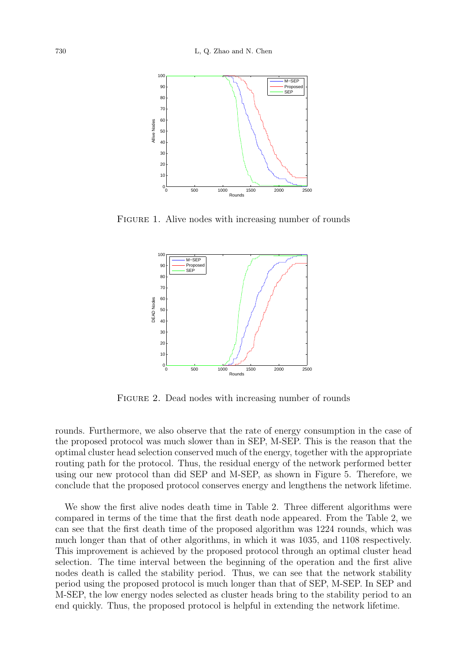

FIGURE 1. Alive nodes with increasing number of rounds



FIGURE 2. Dead nodes with increasing number of rounds

rounds. Furthermore, we also observe that the rate of energy consumption in the case of the proposed protocol was much slower than in SEP, M-SEP. This is the reason that the optimal cluster head selection conserved much of the energy, together with the appropriate routing path for the protocol. Thus, the residual energy of the network performed better using our new protocol than did SEP and M-SEP, as shown in Figure 5. Therefore, we conclude that the proposed protocol conserves energy and lengthens the network lifetime.

We show the first alive nodes death time in Table 2. Three different algorithms were compared in terms of the time that the first death node appeared. From the Table 2, we can see that the first death time of the proposed algorithm was 1224 rounds, which was much longer than that of other algorithms, in which it was 1035, and 1108 respectively. This improvement is achieved by the proposed protocol through an optimal cluster head selection. The time interval between the beginning of the operation and the first alive nodes death is called the stability period. Thus, we can see that the network stability period using the proposed protocol is much longer than that of SEP, M-SEP. In SEP and M-SEP, the low energy nodes selected as cluster heads bring to the stability period to an end quickly. Thus, the proposed protocol is helpful in extending the network lifetime.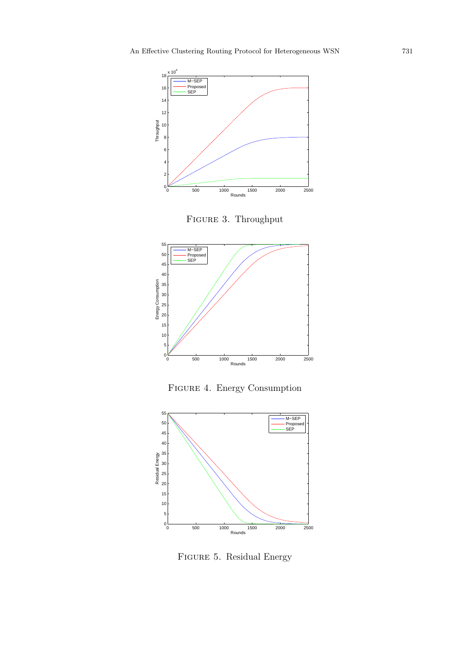

FIGURE 3. Throughput



Figure 4. Energy Consumption



Figure 5. Residual Energy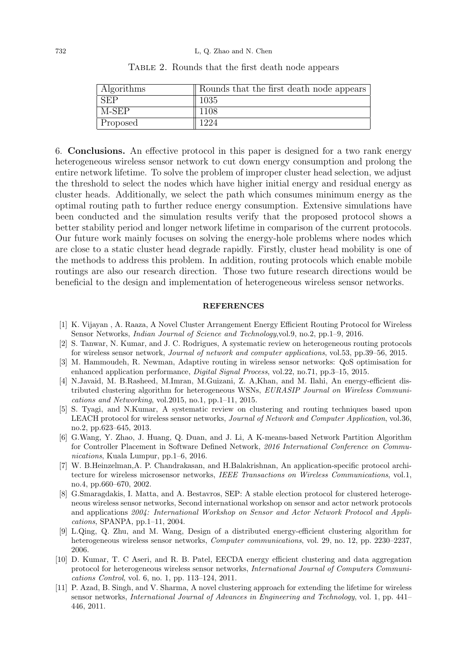| Algorithms | Rounds that the first death node appears |
|------------|------------------------------------------|
| <b>SEP</b> | 1035                                     |
| M-SEP      | 1108                                     |
| Proposed   | 1224                                     |

Table 2. Rounds that the first death node appears

6. Conclusions. An effective protocol in this paper is designed for a two rank energy heterogeneous wireless sensor network to cut down energy consumption and prolong the entire network lifetime. To solve the problem of improper cluster head selection, we adjust the threshold to select the nodes which have higher initial energy and residual energy as cluster heads. Additionally, we select the path which consumes minimum energy as the optimal routing path to further reduce energy consumption. Extensive simulations have been conducted and the simulation results verify that the proposed protocol shows a better stability period and longer network lifetime in comparison of the current protocols. Our future work mainly focuses on solving the energy-hole problems where nodes which are close to a static cluster head degrade rapidly. Firstly, cluster head mobility is one of the methods to address this problem. In addition, routing protocols which enable mobile routings are also our research direction. Those two future research directions would be beneficial to the design and implementation of heterogeneous wireless sensor networks.

## **REFERENCES**

- [1] K. Vijayan , A. Raaza, A Novel Cluster Arrangement Energy Efficient Routing Protocol for Wireless Sensor Networks, Indian Journal of Science and Technology,vol.9, no.2, pp.1–9, 2016.
- [2] S. Tanwar, N. Kumar, and J. C. Rodrigues, A systematic review on heterogeneous routing protocols for wireless sensor network, Journal of network and computer applications, vol.53, pp.39–56, 2015.
- [3] M. Hammoudeh, R. Newman, Adaptive routing in wireless sensor networks: QoS optimisation for enhanced application performance, Digital Signal Process, vol.22, no.71, pp.3–15, 2015.
- [4] N.Javaid, M. B.Rasheed, M.Imran, M.Guizani, Z. A,Khan, and M. Ilahi, An energy-efficient distributed clustering algorithm for heterogeneous WSNs, EURASIP Journal on Wireless Communications and Networking, vol.2015, no.1, pp.1–11, 2015.
- [5] S. Tyagi, and N.Kumar, A systematic review on clustering and routing techniques based upon LEACH protocol for wireless sensor networks, Journal of Network and Computer Application, vol.36, no.2, pp.623–645, 2013.
- [6] G.Wang, Y. Zhao, J. Huang, Q. Duan, and J. Li, A K-means-based Network Partition Algorithm for Controller Placement in Software Defined Network, 2016 International Conference on Communications, Kuala Lumpur, pp.1–6, 2016.
- [7] W. B.Heinzelman,A. P. Chandrakasan, and H.Balakrishnan, An application-specific protocol architecture for wireless microsensor networks, IEEE Transactions on Wireless Communications, vol.1, no.4, pp.660–670, 2002.
- [8] G.Smaragdakis, I. Matta, and A. Bestavros, SEP: A stable election protocol for clustered heterogeneous wireless sensor networks, Second international workshop on sensor and actor network protocols and applications 2004: International Workshop on Sensor and Actor Network Protocol and Applications, SPANPA, pp.1–11, 2004.
- [9] L.Qing, Q. Zhu, and M. Wang, Design of a distributed energy-efficient clustering algorithm for heterogeneous wireless sensor networks, *Computer communications*, vol. 29, no. 12, pp. 2230–2237, 2006.
- [10] D. Kumar, T. C Aseri, and R. B. Patel, EECDA energy efficient clustering and data aggregation protocol for heterogeneous wireless sensor networks, International Journal of Computers Communications Control, vol. 6, no. 1, pp. 113–124, 2011.
- [11] P. Azad, B. Singh, and V. Sharma, A novel clustering approach for extending the lifetime for wireless sensor networks, International Journal of Advances in Engineering and Technology, vol. 1, pp. 441– 446, 2011.